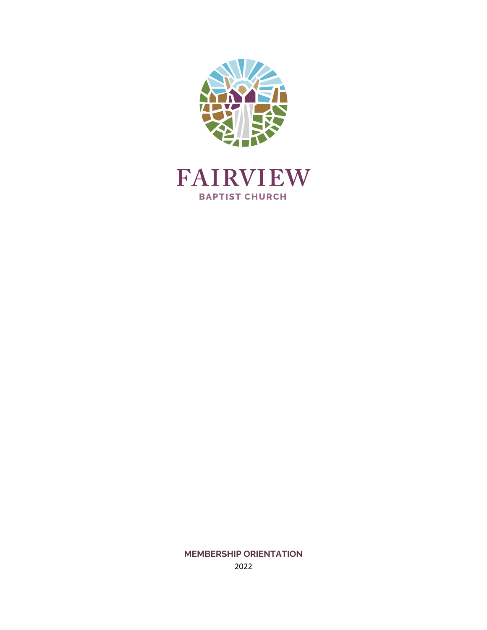



**MEMBERSHIP ORIENTATION** 2022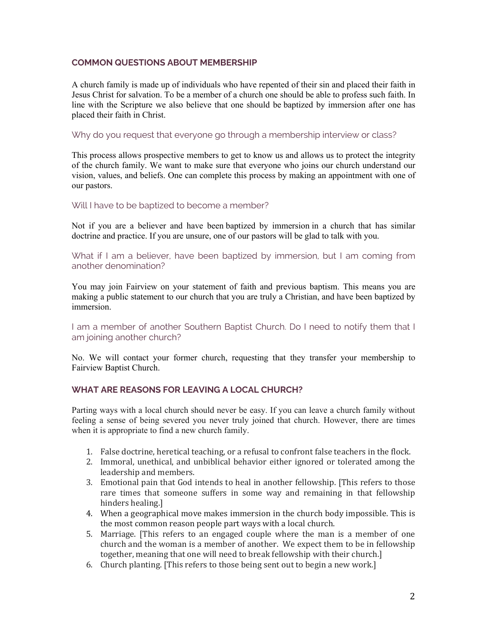#### **COMMON QUESTIONS ABOUT MEMBERSHIP**

A church family is made up of individuals who have repented of their sin and placed their faith in Jesus Christ for salvation. To be a member of a church one should be able to profess such faith. In line with the Scripture we also believe that one should be baptized by immersion after one has placed their faith in Christ.

Why do you request that everyone go through a membership interview or class?

This process allows prospective members to get to know us and allows us to protect the integrity of the church family. We want to make sure that everyone who joins our church understand our vision, values, and beliefs. One can complete this process by making an appointment with one of our pastors.

Will I have to be baptized to become a member?

Not if you are a believer and have been baptized by immersion in a church that has similar doctrine and practice. If you are unsure, one of our pastors will be glad to talk with you.

What if I am a believer, have been baptized by immersion, but I am coming from another denomination?

You may join Fairview on your statement of faith and previous baptism. This means you are making a public statement to our church that you are truly a Christian, and have been baptized by immersion.

I am a member of another Southern Baptist Church. Do I need to notify them that I am joining another church?

No. We will contact your former church, requesting that they transfer your membership to Fairview Baptist Church.

### **WHAT ARE REASONS FOR LEAVING A LOCAL CHURCH?**

Parting ways with a local church should never be easy. If you can leave a church family without feeling a sense of being severed you never truly joined that church. However, there are times when it is appropriate to find a new church family.

- 1. False doctrine, heretical teaching, or a refusal to confront false teachers in the flock.
- 2. Immoral, unethical, and unbiblical behavior either ignored or tolerated among the leadership and members.
- 3. Emotional pain that God intends to heal in another fellowship. [This refers to those rare times that someone suffers in some way and remaining in that fellowship hinders healing.]
- 4. When a geographical move makes immersion in the church body impossible. This is the most common reason people part ways with a local church.
- 5. Marriage. [This refers to an engaged couple where the man is a member of one church and the woman is a member of another. We expect them to be in fellowship together, meaning that one will need to break fellowship with their church.]
- 6. Church planting. [This refers to those being sent out to begin a new work.]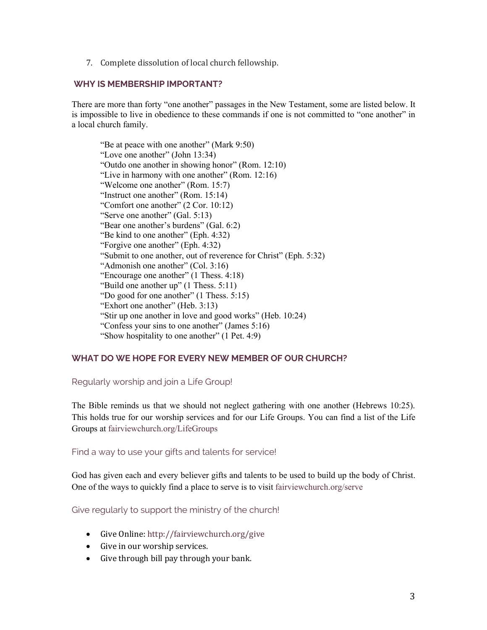7. Complete dissolution of local church fellowship.

#### **WHY IS MEMBERSHIP IMPORTANT?**

There are more than forty "one another" passages in the New Testament, some are listed below. It is impossible to live in obedience to these commands if one is not committed to "one another" in a local church family.

"Be at peace with one another" (Mark 9:50) "Love one another" (John 13:34) "Outdo one another in showing honor" (Rom. 12:10) "Live in harmony with one another" (Rom. 12:16) "Welcome one another" (Rom. 15:7) "Instruct one another" (Rom. 15:14) "Comfort one another" (2 Cor. 10:12) "Serve one another" (Gal. 5:13) "Bear one another's burdens" (Gal. 6:2) "Be kind to one another" (Eph. 4:32) "Forgive one another" (Eph. 4:32) "Submit to one another, out of reverence for Christ" (Eph. 5:32) "Admonish one another" (Col. 3:16) "Encourage one another" (1 Thess. 4:18) "Build one another up" (1 Thess. 5:11) "Do good for one another" (1 Thess. 5:15) "Exhort one another" (Heb. 3:13) "Stir up one another in love and good works" (Heb. 10:24) "Confess your sins to one another" (James 5:16) "Show hospitality to one another" (1 Pet. 4:9)

# **WHAT DO WE HOPE FOR EVERY NEW MEMBER OF OUR CHURCH?**

Regularly worship and join a Life Group!

The Bible reminds us that we should not neglect gathering with one another (Hebrews 10:25). This holds true for our worship services and for our Life Groups. You can find a list of the Life Groups at fairviewchurch.org/LifeGroups

Find a way to use your gifts and talents for service!

God has given each and every believer gifts and talents to be used to build up the body of Christ. One of the ways to quickly find a place to serve is to visit fairviewchurch.org/serve

Give regularly to support the ministry of the church!

- Give Online: http://fairviewchurch.org/give
- Give in our worship services.
- $\bullet$  Give through bill pay through your bank.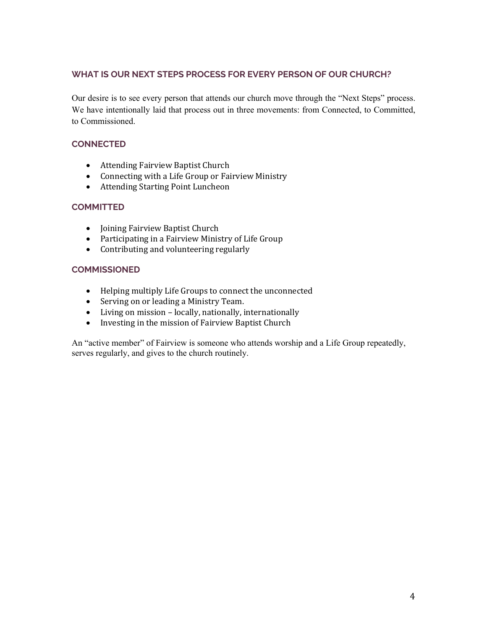# **WHAT IS OUR NEXT STEPS PROCESS FOR EVERY PERSON OF OUR CHURCH?**

Our desire is to see every person that attends our church move through the "Next Steps" process. We have intentionally laid that process out in three movements: from Connected, to Committed, to Commissioned.

# **CONNECTED**

- Attending Fairview Baptist Church
- Connecting with a Life Group or Fairview Ministry
- Attending Starting Point Luncheon

# **COMMITTED**

- Joining Fairview Baptist Church
- Participating in a Fairview Ministry of Life Group
- Contributing and volunteering regularly

### **COMMISSIONED**

- Helping multiply Life Groups to connect the unconnected
- Serving on or leading a Ministry Team.
- Living on mission locally, nationally, internationally
- Investing in the mission of Fairview Baptist Church

An "active member" of Fairview is someone who attends worship and a Life Group repeatedly, serves regularly, and gives to the church routinely.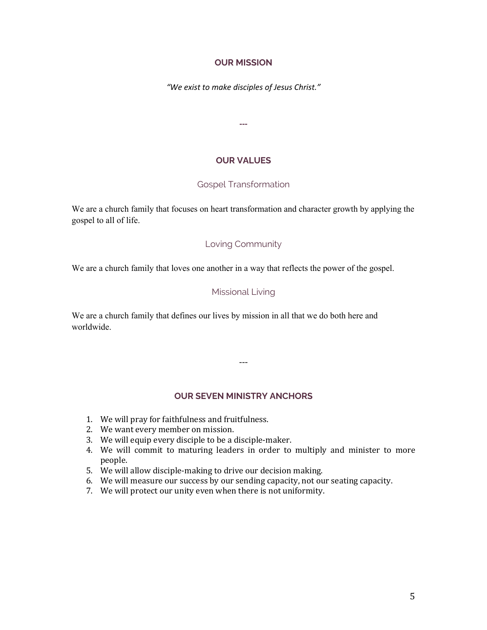#### **OUR MISSION**

*"We exist to make disciples of Jesus Christ."*

**---**

#### **OUR VALUES**

#### Gospel Transformation

We are a church family that focuses on heart transformation and character growth by applying the gospel to all of life.

#### Loving Community

We are a church family that loves one another in a way that reflects the power of the gospel.

#### Missional Living

We are a church family that defines our lives by mission in all that we do both here and worldwide.

# **OUR SEVEN MINISTRY ANCHORS**

---

- 1. We will pray for faithfulness and fruitfulness.
- 2. We want every member on mission.
- 3. We will equip every disciple to be a disciple-maker.
- 4. We will commit to maturing leaders in order to multiply and minister to more people.
- 5. We will allow disciple-making to drive our decision making.
- 6. We will measure our success by our sending capacity, not our seating capacity.
- 7. We will protect our unity even when there is not uniformity.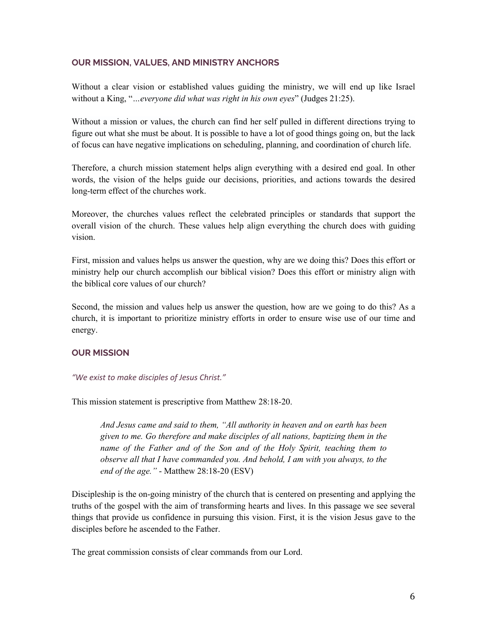#### **OUR MISSION, VALUES, AND MINISTRY ANCHORS**

Without a clear vision or established values guiding the ministry, we will end up like Israel without a King, "*…everyone did what was right in his own eyes*" (Judges 21:25).

Without a mission or values, the church can find her self pulled in different directions trying to figure out what she must be about. It is possible to have a lot of good things going on, but the lack of focus can have negative implications on scheduling, planning, and coordination of church life.

Therefore, a church mission statement helps align everything with a desired end goal. In other words, the vision of the helps guide our decisions, priorities, and actions towards the desired long-term effect of the churches work.

Moreover, the churches values reflect the celebrated principles or standards that support the overall vision of the church. These values help align everything the church does with guiding vision.

First, mission and values helps us answer the question, why are we doing this? Does this effort or ministry help our church accomplish our biblical vision? Does this effort or ministry align with the biblical core values of our church?

Second, the mission and values help us answer the question, how are we going to do this? As a church, it is important to prioritize ministry efforts in order to ensure wise use of our time and energy.

#### **OUR MISSION**

#### *"We exist to make disciples of Jesus Christ."*

This mission statement is prescriptive from Matthew 28:18-20.

*And Jesus came and said to them, "All authority in heaven and on earth has been given to me. Go therefore and make disciples of all nations, baptizing them in the name of the Father and of the Son and of the Holy Spirit, teaching them to observe all that I have commanded you. And behold, I am with you always, to the end of the age."* - Matthew 28:18-20 (ESV)

Discipleship is the on-going ministry of the church that is centered on presenting and applying the truths of the gospel with the aim of transforming hearts and lives. In this passage we see several things that provide us confidence in pursuing this vision. First, it is the vision Jesus gave to the disciples before he ascended to the Father.

The great commission consists of clear commands from our Lord.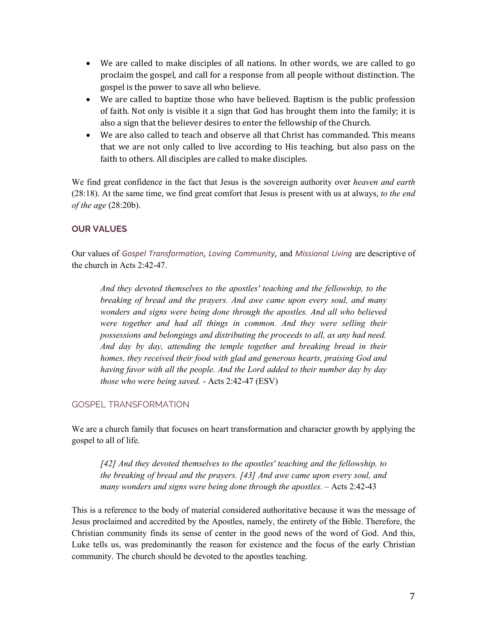- We are called to make disciples of all nations. In other words, we are called to go proclaim the gospel, and call for a response from all people without distinction. The gospel is the power to save all who believe.
- We are called to baptize those who have believed. Baptism is the public profession of faith. Not only is visible it a sign that God has brought them into the family; it is also a sign that the believer desires to enter the fellowship of the Church.
- We are also called to teach and observe all that Christ has commanded. This means that we are not only called to live according to His teaching, but also pass on the faith to others. All disciples are called to make disciples.

We find great confidence in the fact that Jesus is the sovereign authority over *heaven and earth* (28:18). At the same time, we find great comfort that Jesus is present with us at always, *to the end of the age* (28:20b).

# **OUR VALUES**

Our values of *Gospel Transformation*, *Loving Community*, and *Missional Living* are descriptive of the church in Acts 2:42-47.

*And they devoted themselves to the apostles' teaching and the fellowship, to the breaking of bread and the prayers. And awe came upon every soul, and many wonders and signs were being done through the apostles. And all who believed were together and had all things in common. And they were selling their possessions and belongings and distributing the proceeds to all, as any had need. And day by day, attending the temple together and breaking bread in their homes, they received their food with glad and generous hearts, praising God and having favor with all the people. And the Lord added to their number day by day those who were being saved.* - Acts 2:42-47 (ESV)

# GOSPEL TRANSFORMATION

We are a church family that focuses on heart transformation and character growth by applying the gospel to all of life.

*[42] And they devoted themselves to the apostles' teaching and the fellowship, to the breaking of bread and the prayers. [43] And awe came upon every soul, and many wonders and signs were being done through the apostles.* – Acts 2:42-43

This is a reference to the body of material considered authoritative because it was the message of Jesus proclaimed and accredited by the Apostles, namely, the entirety of the Bible. Therefore, the Christian community finds its sense of center in the good news of the word of God. And this, Luke tells us, was predominantly the reason for existence and the focus of the early Christian community. The church should be devoted to the apostles teaching.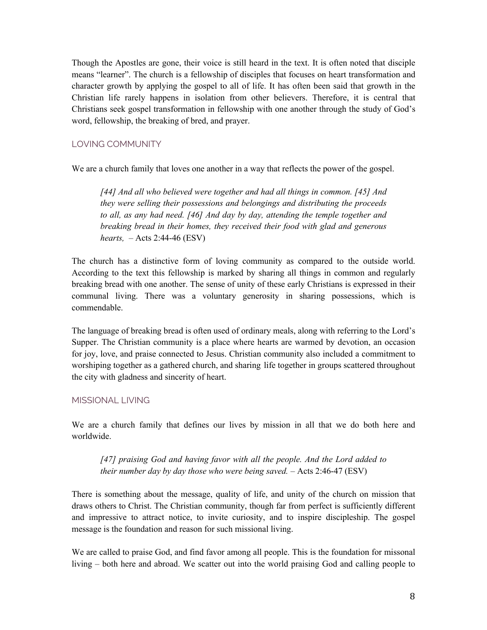Though the Apostles are gone, their voice is still heard in the text. It is often noted that disciple means "learner". The church is a fellowship of disciples that focuses on heart transformation and character growth by applying the gospel to all of life. It has often been said that growth in the Christian life rarely happens in isolation from other believers. Therefore, it is central that Christians seek gospel transformation in fellowship with one another through the study of God's word, fellowship, the breaking of bred, and prayer.

# LOVING COMMUNITY

We are a church family that loves one another in a way that reflects the power of the gospel.

*[44] And all who believed were together and had all things in common. [45] And they were selling their possessions and belongings and distributing the proceeds to all, as any had need. [46] And day by day, attending the temple together and breaking bread in their homes, they received their food with glad and generous hearts,* – Acts 2:44-46 (ESV)

The church has a distinctive form of loving community as compared to the outside world. According to the text this fellowship is marked by sharing all things in common and regularly breaking bread with one another. The sense of unity of these early Christians is expressed in their communal living. There was a voluntary generosity in sharing possessions, which is commendable.

The language of breaking bread is often used of ordinary meals, along with referring to the Lord's Supper. The Christian community is a place where hearts are warmed by devotion, an occasion for joy, love, and praise connected to Jesus. Christian community also included a commitment to worshiping together as a gathered church, and sharing life together in groups scattered throughout the city with gladness and sincerity of heart.

# MISSIONAL LIVING

We are a church family that defines our lives by mission in all that we do both here and worldwide.

*[47] praising God and having favor with all the people. And the Lord added to their number day by day those who were being saved.* – Acts 2:46-47 (ESV)

There is something about the message, quality of life, and unity of the church on mission that draws others to Christ. The Christian community, though far from perfect is sufficiently different and impressive to attract notice, to invite curiosity, and to inspire discipleship. The gospel message is the foundation and reason for such missional living.

We are called to praise God, and find favor among all people. This is the foundation for missonal living – both here and abroad. We scatter out into the world praising God and calling people to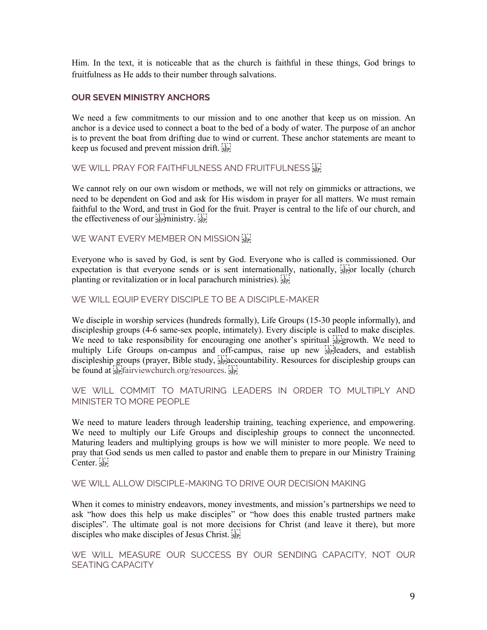Him. In the text, it is noticeable that as the church is faithful in these things, God brings to fruitfulness as He adds to their number through salvations.

#### **OUR SEVEN MINISTRY ANCHORS**

We need a few commitments to our mission and to one another that keep us on mission. An anchor is a device used to connect a boat to the bed of a body of water. The purpose of an anchor is to prevent the boat from drifting due to wind or current. These anchor statements are meant to keep us focused and prevent mission drift.

WE WILL PRAY FOR FAITHFULNESS AND FRUITFULNESS S

We cannot rely on our own wisdom or methods, we will not rely on gimmicks or attractions, we need to be dependent on God and ask for His wisdom in prayer for all matters. We must remain faithful to the Word, and trust in God for the fruit. Prayer is central to the life of our church, and the effectiveness of our  $\sum_{s \in P}$  ministry.  $\sum_{s \in P}$ 

WE WANT EVERY MEMBER ON MISSION SEE

Everyone who is saved by God, is sent by God. Everyone who is called is commissioned. Our expectation is that everyone sends or is sent internationally, nationally,  $\frac{1}{15}$  or locally (church planting or revitalization or in local parachurch ministries). Step

WE WILL EQUIP EVERY DISCIPLE TO BE A DISCIPLE-MAKER

We disciple in worship services (hundreds formally), Life Groups (15-30 people informally), and discipleship groups (4-6 same-sex people, intimately). Every disciple is called to make disciples. We need to take responsibility for encouraging one another's spiritual  $\frac{1}{35}$  growth. We need to multiply Life Groups on-campus and off-campus, raise up new stepleaders, and establish discipleship groups (prayer, Bible study,  $\frac{1}{15}$  accountability. Resources for discipleship groups can be found at sep fairviewchurch.org/resources.

# WE WILL COMMIT TO MATURING LEADERS IN ORDER TO MULTIPLY AND MINISTER TO MORE PEOPLE

We need to mature leaders through leadership training, teaching experience, and empowering. We need to multiply our Life Groups and discipleship groups to connect the unconnected. Maturing leaders and multiplying groups is how we will minister to more people. We need to pray that God sends us men called to pastor and enable them to prepare in our Ministry Training Center.

#### WE WILL ALLOW DISCIPLE-MAKING TO DRIVE OUR DECISION MAKING

When it comes to ministry endeavors, money investments, and mission's partnerships we need to ask "how does this help us make disciples" or "how does this enable trusted partners make disciples". The ultimate goal is not more decisions for Christ (and leave it there), but more disciples who make disciples of Jesus Christ.

WE WILL MEASURE OUR SUCCESS BY OUR SENDING CAPACITY, NOT OUR SEATING CAPACITY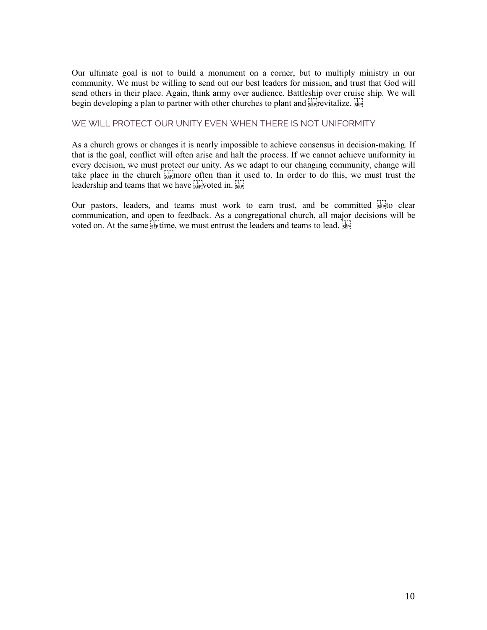Our ultimate goal is not to build a monument on a corner, but to multiply ministry in our community. We must be willing to send out our best leaders for mission, and trust that God will send others in their place. Again, think army over audience. Battleship over cruise ship. We will begin developing a plan to partner with other churches to plant and  $\frac{1}{25}$  revitalize.  $\frac{1}{25}$ 

# WE WILL PROTECT OUR UNITY EVEN WHEN THERE IS NOT UNIFORMITY

As a church grows or changes it is nearly impossible to achieve consensus in decision-making. If that is the goal, conflict will often arise and halt the process. If we cannot achieve uniformity in every decision, we must protect our unity. As we adapt to our changing community, change will take place in the church  $\frac{1}{2E}$  more often than it used to. In order to do this, we must trust the leadership and teams that we have  $\sum_{s \in P}$  voted in.

Our pastors, leaders, and teams must work to earn trust, and be committed  $\sum_{s \in \mathbb{N}}$  clear communication, and open to feedback. As a congregational church, all major decisions will be voted on. At the same  $\frac{1}{35}$  time, we must entrust the leaders and teams to lead.  $\frac{1}{35}$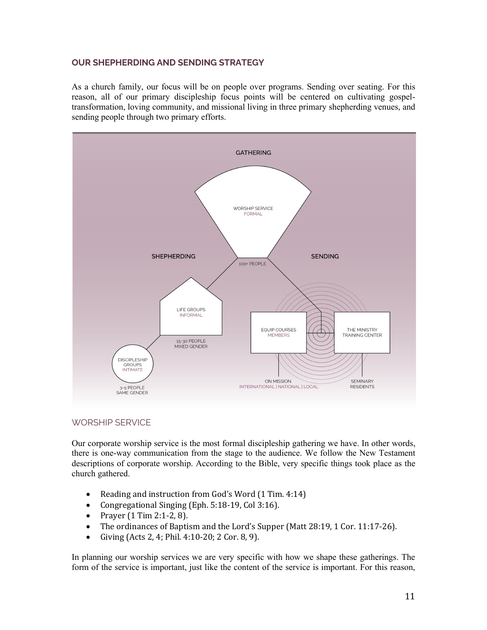### **OUR SHEPHERDING AND SENDING STRATEGY**

As a church family, our focus will be on people over programs. Sending over seating. For this reason, all of our primary discipleship focus points will be centered on cultivating gospeltransformation, loving community, and missional living in three primary shepherding venues, and sending people through two primary efforts.



# WORSHIP SERVICE

Our corporate worship service is the most formal discipleship gathering we have. In other words, there is one-way communication from the stage to the audience. We follow the New Testament descriptions of corporate worship. According to the Bible, very specific things took place as the church gathered.

- Reading and instruction from God's Word (1 Tim. 4:14)
- Congregational Singing (Eph. 5:18-19, Col 3:16).
- Prayer  $(1 \text{ Tim } 2:1-2, 8)$ .
- The ordinances of Baptism and the Lord's Supper (Matt  $28:19, 1$  Cor. 11:17-26).
- Giving  $(Acts 2, 4; Phil. 4:10-20; 2 Cor. 8, 9).$

In planning our worship services we are very specific with how we shape these gatherings. The form of the service is important, just like the content of the service is important. For this reason,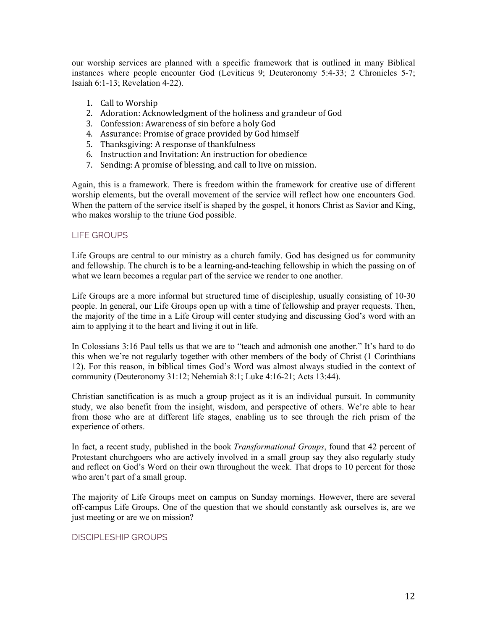our worship services are planned with a specific framework that is outlined in many Biblical instances where people encounter God (Leviticus 9; Deuteronomy 5:4-33; 2 Chronicles 5-7; Isaiah 6:1-13; Revelation 4-22).

- 1. Call to Worship
- 2. Adoration: Acknowledgment of the holiness and grandeur of God
- 3. Confession: Awareness of sin before a holy God
- 4. Assurance: Promise of grace provided by God himself
- 5. Thanksgiving: A response of thankfulness
- 6. Instruction and Invitation: An instruction for obedience
- 7. Sending: A promise of blessing, and call to live on mission.

Again, this is a framework. There is freedom within the framework for creative use of different worship elements, but the overall movement of the service will reflect how one encounters God. When the pattern of the service itself is shaped by the gospel, it honors Christ as Savior and King, who makes worship to the triune God possible.

#### LIFE GROUPS

Life Groups are central to our ministry as a church family. God has designed us for community and fellowship. The church is to be a learning-and-teaching fellowship in which the passing on of what we learn becomes a regular part of the service we render to one another.

Life Groups are a more informal but structured time of discipleship, usually consisting of 10-30 people. In general, our Life Groups open up with a time of fellowship and prayer requests. Then, the majority of the time in a Life Group will center studying and discussing God's word with an aim to applying it to the heart and living it out in life.

In Colossians 3:16 Paul tells us that we are to "teach and admonish one another." It's hard to do this when we're not regularly together with other members of the body of Christ (1 Corinthians 12). For this reason, in biblical times God's Word was almost always studied in the context of community (Deuteronomy 31:12; Nehemiah 8:1; Luke 4:16-21; Acts 13:44).

Christian sanctification is as much a group project as it is an individual pursuit. In community study, we also benefit from the insight, wisdom, and perspective of others. We're able to hear from those who are at different life stages, enabling us to see through the rich prism of the experience of others.

In fact, a recent study, published in the book *Transformational Groups*, found that 42 percent of Protestant churchgoers who are actively involved in a small group say they also regularly study and reflect on God's Word on their own throughout the week. That drops to 10 percent for those who aren't part of a small group.

The majority of Life Groups meet on campus on Sunday mornings. However, there are several off-campus Life Groups. One of the question that we should constantly ask ourselves is, are we just meeting or are we on mission?

#### DISCIPLESHIP GROUPS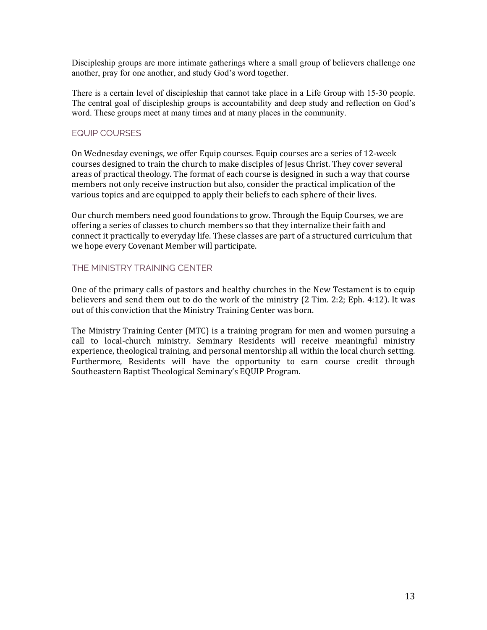Discipleship groups are more intimate gatherings where a small group of believers challenge one another, pray for one another, and study God's word together.

There is a certain level of discipleship that cannot take place in a Life Group with 15-30 people. The central goal of discipleship groups is accountability and deep study and reflection on God's word. These groups meet at many times and at many places in the community.

# EQUIP COURSES

On Wednesday evenings, we offer Equip courses. Equip courses are a series of 12-week courses designed to train the church to make disciples of Jesus Christ. They cover several areas of practical theology. The format of each course is designed in such a way that course members not only receive instruction but also, consider the practical implication of the various topics and are equipped to apply their beliefs to each sphere of their lives.

Our church members need good foundations to grow. Through the Equip Courses, we are offering a series of classes to church members so that they internalize their faith and connect it practically to everyday life. These classes are part of a structured curriculum that we hope every Covenant Member will participate.

### THE MINISTRY TRAINING CENTER

One of the primary calls of pastors and healthy churches in the New Testament is to equip believers and send them out to do the work of the ministry  $(2$  Tim. 2:2; Eph. 4:12). It was out of this conviction that the Ministry Training Center was born.

The Ministry Training Center (MTC) is a training program for men and women pursuing a call to local-church ministry. Seminary Residents will receive meaningful ministry experience, theological training, and personal mentorship all within the local church setting. Furthermore, Residents will have the opportunity to earn course credit through Southeastern Baptist Theological Seminary's EQUIP Program.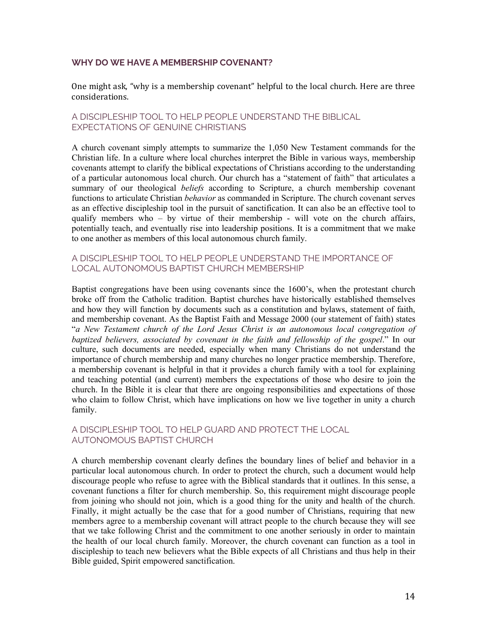### **WHY DO WE HAVE A MEMBERSHIP COVENANT?**

One might ask, "why is a membership covenant" helpful to the local church. Here are three considerations. 

#### A DISCIPLESHIP TOOL TO HELP PEOPLE UNDERSTAND THE BIBLICAL EXPECTATIONS OF GENUINE CHRISTIANS

A church covenant simply attempts to summarize the 1,050 New Testament commands for the Christian life. In a culture where local churches interpret the Bible in various ways, membership covenants attempt to clarify the biblical expectations of Christians according to the understanding of a particular autonomous local church. Our church has a "statement of faith" that articulates a summary of our theological *beliefs* according to Scripture, a church membership covenant functions to articulate Christian *behavior* as commanded in Scripture. The church covenant serves as an effective discipleship tool in the pursuit of sanctification. It can also be an effective tool to qualify members who  $-$  by virtue of their membership - will vote on the church affairs, potentially teach, and eventually rise into leadership positions. It is a commitment that we make to one another as members of this local autonomous church family.

#### A DISCIPLESHIP TOOL TO HELP PEOPLE UNDERSTAND THE IMPORTANCE OF LOCAL AUTONOMOUS BAPTIST CHURCH MEMBERSHIP

Baptist congregations have been using covenants since the 1600's, when the protestant church broke off from the Catholic tradition. Baptist churches have historically established themselves and how they will function by documents such as a constitution and bylaws, statement of faith, and membership covenant. As the Baptist Faith and Message 2000 (our statement of faith) states "*a New Testament church of the Lord Jesus Christ is an autonomous local congregation of baptized believers, associated by covenant in the faith and fellowship of the gospel*." In our culture, such documents are needed, especially when many Christians do not understand the importance of church membership and many churches no longer practice membership. Therefore, a membership covenant is helpful in that it provides a church family with a tool for explaining and teaching potential (and current) members the expectations of those who desire to join the church. In the Bible it is clear that there are ongoing responsibilities and expectations of those who claim to follow Christ, which have implications on how we live together in unity a church family.

### A DISCIPLESHIP TOOL TO HELP GUARD AND PROTECT THE LOCAL AUTONOMOUS BAPTIST CHURCH

A church membership covenant clearly defines the boundary lines of belief and behavior in a particular local autonomous church. In order to protect the church, such a document would help discourage people who refuse to agree with the Biblical standards that it outlines. In this sense, a covenant functions a filter for church membership. So, this requirement might discourage people from joining who should not join, which is a good thing for the unity and health of the church. Finally, it might actually be the case that for a good number of Christians, requiring that new members agree to a membership covenant will attract people to the church because they will see that we take following Christ and the commitment to one another seriously in order to maintain the health of our local church family. Moreover, the church covenant can function as a tool in discipleship to teach new believers what the Bible expects of all Christians and thus help in their Bible guided, Spirit empowered sanctification.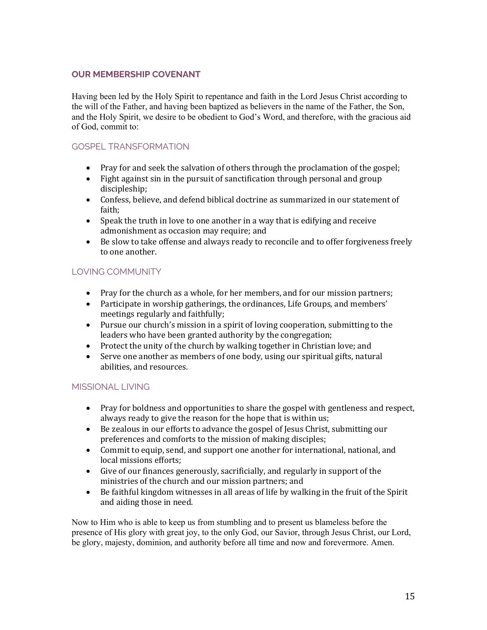# **OUR MEMBERSHIP COVENANT**

Having been led by the Holy Spirit to repentance and faith in the Lord Jesus Christ according to the will of the Father, and having been baptized as believers in the name of the Father, the Son, and the Holy Spirit, we desire to be obedient to God's Word, and therefore, with the gracious aid of God, commit to:

# GOSPEL TRANSFORMATION

- Pray for and seek the salvation of others through the proclamation of the gospel;
- Fight against sin in the pursuit of sanctification through personal and group discipleship;
- Confess, believe, and defend biblical doctrine as summarized in our statement of faith;
- Speak the truth in love to one another in a way that is edifying and receive admonishment as occasion may require; and
- Be slow to take offense and always ready to reconcile and to offer forgiveness freely to one another.

# LOVING COMMUNITY

- Pray for the church as a whole, for her members, and for our mission partners;
- Participate in worship gatherings, the ordinances, Life Groups, and members' meetings regularly and faithfully;
- Pursue our church's mission in a spirit of loving cooperation, submitting to the leaders who have been granted authority by the congregation;
- Protect the unity of the church by walking together in Christian love; and
- Serve one another as members of one body, using our spiritual gifts, natural abilities, and resources.

# MISSIONAL LIVING

- Pray for boldness and opportunities to share the gospel with gentleness and respect, always ready to give the reason for the hope that is within us;
- Be zealous in our efforts to advance the gospel of Jesus Christ, submitting our preferences and comforts to the mission of making disciples;
- Commit to equip, send, and support one another for international, national, and local missions efforts;
- Give of our finances generously, sacrificially, and regularly in support of the ministries of the church and our mission partners; and
- Be faithful kingdom witnesses in all areas of life by walking in the fruit of the Spirit and aiding those in need.

Now to Him who is able to keep us from stumbling and to present us blameless before the presence of His glory with great joy, to the only God, our Savior, through Jesus Christ, our Lord, be glory, majesty, dominion, and authority before all time and now and forevermore. Amen.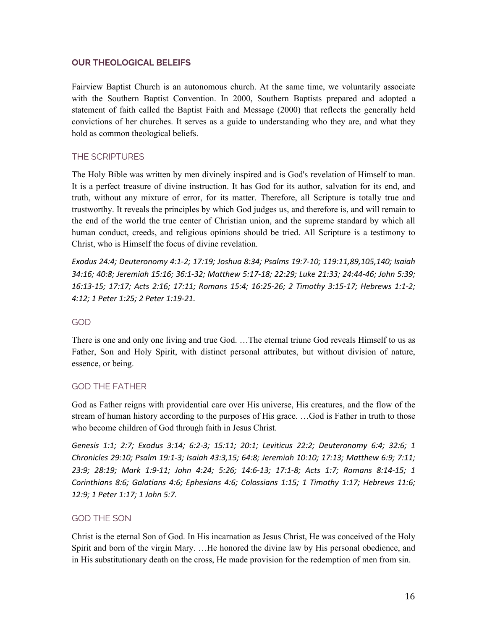#### **OUR THEOLOGICAL BELEIFS**

Fairview Baptist Church is an autonomous church. At the same time, we voluntarily associate with the Southern Baptist Convention. In 2000, Southern Baptists prepared and adopted a statement of faith called the Baptist Faith and Message (2000) that reflects the generally held convictions of her churches. It serves as a guide to understanding who they are, and what they hold as common theological beliefs.

# THE SCRIPTURES

The Holy Bible was written by men divinely inspired and is God's revelation of Himself to man. It is a perfect treasure of divine instruction. It has God for its author, salvation for its end, and truth, without any mixture of error, for its matter. Therefore, all Scripture is totally true and trustworthy. It reveals the principles by which God judges us, and therefore is, and will remain to the end of the world the true center of Christian union, and the supreme standard by which all human conduct, creeds, and religious opinions should be tried. All Scripture is a testimony to Christ, who is Himself the focus of divine revelation.

*Exodus 24:4; Deuteronomy 4:1-2; 17:19; Joshua 8:34; Psalms 19:7-10; 119:11,89,105,140; Isaiah 34:16; 40:8; Jeremiah 15:16; 36:1-32; Matthew 5:17-18; 22:29; Luke 21:33; 24:44-46; John 5:39; 16:13-15; 17:17; Acts 2:16; 17:11; Romans 15:4; 16:25-26; 2 Timothy 3:15-17; Hebrews 1:1-2; 4:12; 1 Peter 1:25; 2 Peter 1:19-21.*

# GOD

There is one and only one living and true God. …The eternal triune God reveals Himself to us as Father, Son and Holy Spirit, with distinct personal attributes, but without division of nature, essence, or being.

# GOD THE FATHER

God as Father reigns with providential care over His universe, His creatures, and the flow of the stream of human history according to the purposes of His grace. …God is Father in truth to those who become children of God through faith in Jesus Christ.

*Genesis 1:1; 2:7; Exodus 3:14; 6:2-3; 15:11; 20:1; Leviticus 22:2; Deuteronomy 6:4; 32:6; 1 Chronicles 29:10; Psalm 19:1-3; Isaiah 43:3,15; 64:8; Jeremiah 10:10; 17:13; Matthew 6:9; 7:11; 23:9; 28:19; Mark 1:9-11; John 4:24; 5:26; 14:6-13; 17:1-8; Acts 1:7; Romans 8:14-15; 1 Corinthians 8:6; Galatians 4:6; Ephesians 4:6; Colossians 1:15; 1 Timothy 1:17; Hebrews 11:6; 12:9; 1 Peter 1:17; 1 John 5:7.*

# GOD THE SON

Christ is the eternal Son of God. In His incarnation as Jesus Christ, He was conceived of the Holy Spirit and born of the virgin Mary. …He honored the divine law by His personal obedience, and in His substitutionary death on the cross, He made provision for the redemption of men from sin.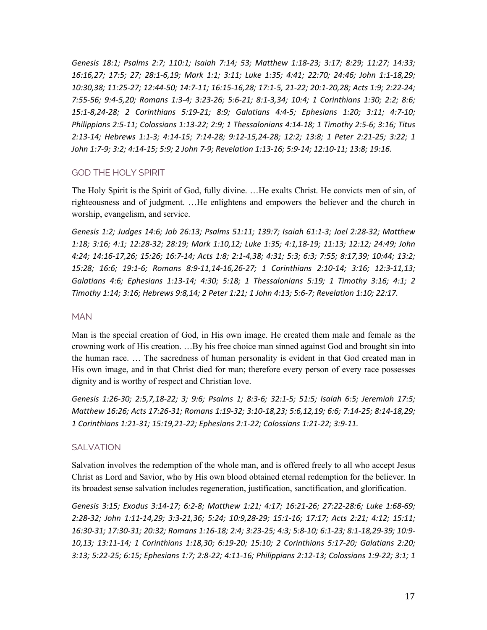*Genesis 18:1; Psalms 2:7; 110:1; Isaiah 7:14; 53; Matthew 1:18-23; 3:17; 8:29; 11:27; 14:33; 16:16,27; 17:5; 27; 28:1-6,19; Mark 1:1; 3:11; Luke 1:35; 4:41; 22:70; 24:46; John 1:1-18,29; 10:30,38; 11:25-27; 12:44-50; 14:7-11; 16:15-16,28; 17:1-5, 21-22; 20:1-20,28; Acts 1:9; 2:22-24; 7:55-56; 9:4-5,20; Romans 1:3-4; 3:23-26; 5:6-21; 8:1-3,34; 10:4; 1 Corinthians 1:30; 2:2; 8:6; 15:1-8,24-28; 2 Corinthians 5:19-21; 8:9; Galatians 4:4-5; Ephesians 1:20; 3:11; 4:7-10; Philippians 2:5-11; Colossians 1:13-22; 2:9; 1 Thessalonians 4:14-18; 1 Timothy 2:5-6; 3:16; Titus 2:13-14; Hebrews 1:1-3; 4:14-15; 7:14-28; 9:12-15,24-28; 12:2; 13:8; 1 Peter 2:21-25; 3:22; 1 John 1:7-9; 3:2; 4:14-15; 5:9; 2 John 7-9; Revelation 1:13-16; 5:9-14; 12:10-11; 13:8; 19:16.*

### GOD THE HOLY SPIRIT

The Holy Spirit is the Spirit of God, fully divine. …He exalts Christ. He convicts men of sin, of righteousness and of judgment. …He enlightens and empowers the believer and the church in worship, evangelism, and service.

*Genesis 1:2; Judges 14:6; Job 26:13; Psalms 51:11; 139:7; Isaiah 61:1-3; Joel 2:28-32; Matthew 1:18; 3:16; 4:1; 12:28-32; 28:19; Mark 1:10,12; Luke 1:35; 4:1,18-19; 11:13; 12:12; 24:49; John 4:24; 14:16-17,26; 15:26; 16:7-14; Acts 1:8; 2:1-4,38; 4:31; 5:3; 6:3; 7:55; 8:17,39; 10:44; 13:2; 15:28; 16:6; 19:1-6; Romans 8:9-11,14-16,26-27; 1 Corinthians 2:10-14; 3:16; 12:3-11,13; Galatians 4:6; Ephesians 1:13-14; 4:30; 5:18; 1 Thessalonians 5:19; 1 Timothy 3:16; 4:1; 2 Timothy 1:14; 3:16; Hebrews 9:8,14; 2 Peter 1:21; 1 John 4:13; 5:6-7; Revelation 1:10; 22:17.*

#### MAN

Man is the special creation of God, in His own image. He created them male and female as the crowning work of His creation. …By his free choice man sinned against God and brought sin into the human race. … The sacredness of human personality is evident in that God created man in His own image, and in that Christ died for man; therefore every person of every race possesses dignity and is worthy of respect and Christian love.

*Genesis 1:26-30; 2:5,7,18-22; 3; 9:6; Psalms 1; 8:3-6; 32:1-5; 51:5; Isaiah 6:5; Jeremiah 17:5; Matthew 16:26; Acts 17:26-31; Romans 1:19-32; 3:10-18,23; 5:6,12,19; 6:6; 7:14-25; 8:14-18,29; 1 Corinthians 1:21-31; 15:19,21-22; Ephesians 2:1-22; Colossians 1:21-22; 3:9-11.*

#### **SALVATION**

Salvation involves the redemption of the whole man, and is offered freely to all who accept Jesus Christ as Lord and Savior, who by His own blood obtained eternal redemption for the believer. In its broadest sense salvation includes regeneration, justification, sanctification, and glorification.

*Genesis 3:15; Exodus 3:14-17; 6:2-8; Matthew 1:21; 4:17; 16:21-26; 27:22-28:6; Luke 1:68-69; 2:28-32; John 1:11-14,29; 3:3-21,36; 5:24; 10:9,28-29; 15:1-16; 17:17; Acts 2:21; 4:12; 15:11; 16:30-31; 17:30-31; 20:32; Romans 1:16-18; 2:4; 3:23-25; 4:3; 5:8-10; 6:1-23; 8:1-18,29-39; 10:9- 10,13; 13:11-14; 1 Corinthians 1:18,30; 6:19-20; 15:10; 2 Corinthians 5:17-20; Galatians 2:20; 3:13; 5:22-25; 6:15; Ephesians 1:7; 2:8-22; 4:11-16; Philippians 2:12-13; Colossians 1:9-22; 3:1; 1*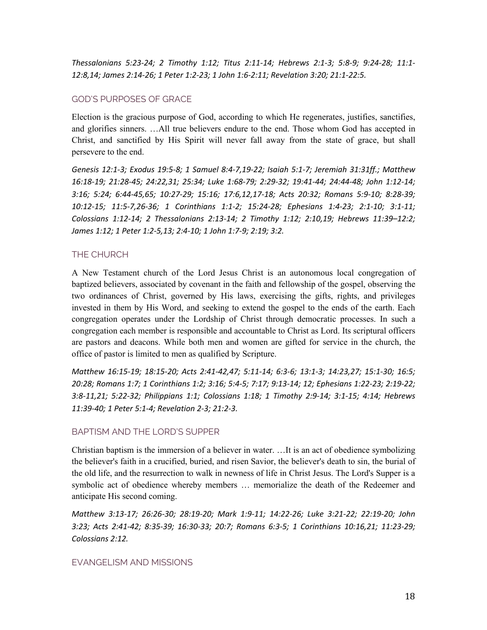*Thessalonians 5:23-24; 2 Timothy 1:12; Titus 2:11-14; Hebrews 2:1-3; 5:8-9; 9:24-28; 11:1- 12:8,14; James 2:14-26; 1 Peter 1:2-23; 1 John 1:6-2:11; Revelation 3:20; 21:1-22:5.*

### GOD'S PURPOSES OF GRACE

Election is the gracious purpose of God, according to which He regenerates, justifies, sanctifies, and glorifies sinners. …All true believers endure to the end. Those whom God has accepted in Christ, and sanctified by His Spirit will never fall away from the state of grace, but shall persevere to the end.

*Genesis 12:1-3; Exodus 19:5-8; 1 Samuel 8:4-7,19-22; Isaiah 5:1-7; Jeremiah 31:31ff.; Matthew 16:18-19; 21:28-45; 24:22,31; 25:34; Luke 1:68-79; 2:29-32; 19:41-44; 24:44-48; John 1:12-14; 3:16; 5:24; 6:44-45,65; 10:27-29; 15:16; 17:6,12,17-18; Acts 20:32; Romans 5:9-10; 8:28-39; 10:12-15; 11:5-7,26-36; 1 Corinthians 1:1-2; 15:24-28; Ephesians 1:4-23; 2:1-10; 3:1-11; Colossians 1:12-14; 2 Thessalonians 2:13-14; 2 Timothy 1:12; 2:10,19; Hebrews 11:39–12:2; James 1:12; 1 Peter 1:2-5,13; 2:4-10; 1 John 1:7-9; 2:19; 3:2.*

### THE CHURCH

A New Testament church of the Lord Jesus Christ is an autonomous local congregation of baptized believers, associated by covenant in the faith and fellowship of the gospel, observing the two ordinances of Christ, governed by His laws, exercising the gifts, rights, and privileges invested in them by His Word, and seeking to extend the gospel to the ends of the earth. Each congregation operates under the Lordship of Christ through democratic processes. In such a congregation each member is responsible and accountable to Christ as Lord. Its scriptural officers are pastors and deacons. While both men and women are gifted for service in the church, the office of pastor is limited to men as qualified by Scripture.

*Matthew 16:15-19; 18:15-20; Acts 2:41-42,47; 5:11-14; 6:3-6; 13:1-3; 14:23,27; 15:1-30; 16:5; 20:28; Romans 1:7; 1 Corinthians 1:2; 3:16; 5:4-5; 7:17; 9:13-14; 12; Ephesians 1:22-23; 2:19-22; 3:8-11,21; 5:22-32; Philippians 1:1; Colossians 1:18; 1 Timothy 2:9-14; 3:1-15; 4:14; Hebrews 11:39-40; 1 Peter 5:1-4; Revelation 2-3; 21:2-3.*

#### BAPTISM AND THE LORD'S SUPPER

Christian baptism is the immersion of a believer in water. …It is an act of obedience symbolizing the believer's faith in a crucified, buried, and risen Savior, the believer's death to sin, the burial of the old life, and the resurrection to walk in newness of life in Christ Jesus. The Lord's Supper is a symbolic act of obedience whereby members … memorialize the death of the Redeemer and anticipate His second coming.

*Matthew 3:13-17; 26:26-30; 28:19-20; Mark 1:9-11; 14:22-26; Luke 3:21-22; 22:19-20; John 3:23; Acts 2:41-42; 8:35-39; 16:30-33; 20:7; Romans 6:3-5; 1 Corinthians 10:16,21; 11:23-29; Colossians 2:12.*

#### EVANGELISM AND MISSIONS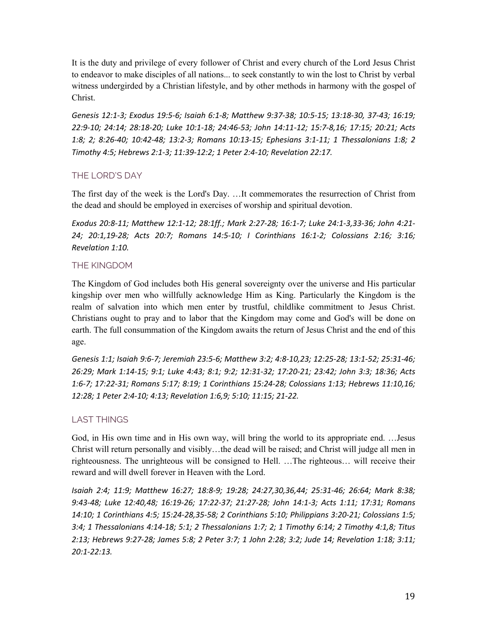It is the duty and privilege of every follower of Christ and every church of the Lord Jesus Christ to endeavor to make disciples of all nations... to seek constantly to win the lost to Christ by verbal witness undergirded by a Christian lifestyle, and by other methods in harmony with the gospel of Christ.

*Genesis 12:1-3; Exodus 19:5-6; Isaiah 6:1-8; Matthew 9:37-38; 10:5-15; 13:18-30, 37-43; 16:19; 22:9-10; 24:14; 28:18-20; Luke 10:1-18; 24:46-53; John 14:11-12; 15:7-8,16; 17:15; 20:21; Acts 1:8; 2; 8:26-40; 10:42-48; 13:2-3; Romans 10:13-15; Ephesians 3:1-11; 1 Thessalonians 1:8; 2 Timothy 4:5; Hebrews 2:1-3; 11:39-12:2; 1 Peter 2:4-10; Revelation 22:17.*

# THE LORD'S DAY

The first day of the week is the Lord's Day. …It commemorates the resurrection of Christ from the dead and should be employed in exercises of worship and spiritual devotion.

*Exodus 20:8-11; Matthew 12:1-12; 28:1ff.; Mark 2:27-28; 16:1-7; Luke 24:1-3,33-36; John 4:21- 24; 20:1,19-28; Acts 20:7; Romans 14:5-10; I Corinthians 16:1-2; Colossians 2:16; 3:16; Revelation 1:10.*

# THE KINGDOM

The Kingdom of God includes both His general sovereignty over the universe and His particular kingship over men who willfully acknowledge Him as King. Particularly the Kingdom is the realm of salvation into which men enter by trustful, childlike commitment to Jesus Christ. Christians ought to pray and to labor that the Kingdom may come and God's will be done on earth. The full consummation of the Kingdom awaits the return of Jesus Christ and the end of this age.

*Genesis 1:1; Isaiah 9:6-7; Jeremiah 23:5-6; Matthew 3:2; 4:8-10,23; 12:25-28; 13:1-52; 25:31-46; 26:29; Mark 1:14-15; 9:1; Luke 4:43; 8:1; 9:2; 12:31-32; 17:20-21; 23:42; John 3:3; 18:36; Acts 1:6-7; 17:22-31; Romans 5:17; 8:19; 1 Corinthians 15:24-28; Colossians 1:13; Hebrews 11:10,16; 12:28; 1 Peter 2:4-10; 4:13; Revelation 1:6,9; 5:10; 11:15; 21-22.*

# LAST THINGS

God, in His own time and in His own way, will bring the world to its appropriate end. …Jesus Christ will return personally and visibly…the dead will be raised; and Christ will judge all men in righteousness. The unrighteous will be consigned to Hell. …The righteous… will receive their reward and will dwell forever in Heaven with the Lord.

*Isaiah 2:4; 11:9; Matthew 16:27; 18:8-9; 19:28; 24:27,30,36,44; 25:31-46; 26:64; Mark 8:38; 9:43-48; Luke 12:40,48; 16:19-26; 17:22-37; 21:27-28; John 14:1-3; Acts 1:11; 17:31; Romans 14:10; 1 Corinthians 4:5; 15:24-28,35-58; 2 Corinthians 5:10; Philippians 3:20-21; Colossians 1:5; 3:4; 1 Thessalonians 4:14-18; 5:1; 2 Thessalonians 1:7; 2; 1 Timothy 6:14; 2 Timothy 4:1,8; Titus 2:13; Hebrews 9:27-28; James 5:8; 2 Peter 3:7; 1 John 2:28; 3:2; Jude 14; Revelation 1:18; 3:11; 20:1-22:13.*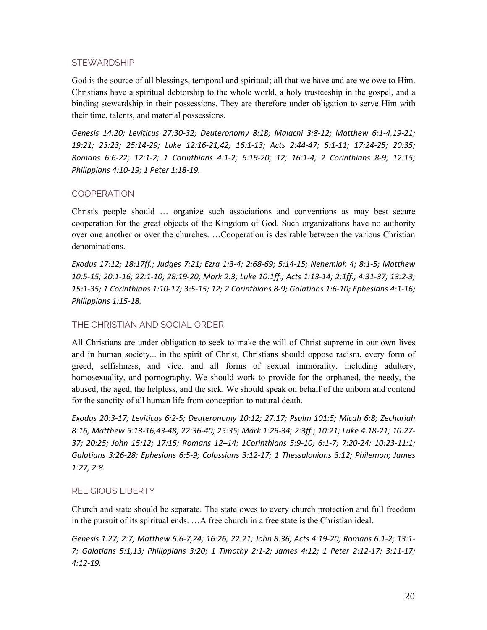### **STEWARDSHIP**

God is the source of all blessings, temporal and spiritual; all that we have and are we owe to Him. Christians have a spiritual debtorship to the whole world, a holy trusteeship in the gospel, and a binding stewardship in their possessions. They are therefore under obligation to serve Him with their time, talents, and material possessions.

*Genesis 14:20; Leviticus 27:30-32; Deuteronomy 8:18; Malachi 3:8-12; Matthew 6:1-4,19-21; 19:21; 23:23; 25:14-29; Luke 12:16-21,42; 16:1-13; Acts 2:44-47; 5:1-11; 17:24-25; 20:35; Romans 6:6-22; 12:1-2; 1 Corinthians 4:1-2; 6:19-20; 12; 16:1-4; 2 Corinthians 8-9; 12:15; Philippians 4:10-19; 1 Peter 1:18-19.*

# **COOPERATION**

Christ's people should … organize such associations and conventions as may best secure cooperation for the great objects of the Kingdom of God. Such organizations have no authority over one another or over the churches. …Cooperation is desirable between the various Christian denominations.

*Exodus 17:12; 18:17ff.; Judges 7:21; Ezra 1:3-4; 2:68-69; 5:14-15; Nehemiah 4; 8:1-5; Matthew 10:5-15; 20:1-16; 22:1-10; 28:19-20; Mark 2:3; Luke 10:1ff.; Acts 1:13-14; 2:1ff.; 4:31-37; 13:2-3; 15:1-35; 1 Corinthians 1:10-17; 3:5-15; 12; 2 Corinthians 8-9; Galatians 1:6-10; Ephesians 4:1-16; Philippians 1:15-18.*

# THE CHRISTIAN AND SOCIAL ORDER

All Christians are under obligation to seek to make the will of Christ supreme in our own lives and in human society... in the spirit of Christ, Christians should oppose racism, every form of greed, selfishness, and vice, and all forms of sexual immorality, including adultery, homosexuality, and pornography. We should work to provide for the orphaned, the needy, the abused, the aged, the helpless, and the sick. We should speak on behalf of the unborn and contend for the sanctity of all human life from conception to natural death.

*Exodus 20:3-17; Leviticus 6:2-5; Deuteronomy 10:12; 27:17; Psalm 101:5; Micah 6:8; Zechariah 8:16; Matthew 5:13-16,43-48; 22:36-40; 25:35; Mark 1:29-34; 2:3ff.; 10:21; Luke 4:18-21; 10:27- 37; 20:25; John 15:12; 17:15; Romans 12–14; 1Corinthians 5:9-10; 6:1-7; 7:20-24; 10:23-11:1; Galatians 3:26-28; Ephesians 6:5-9; Colossians 3:12-17; 1 Thessalonians 3:12; Philemon; James 1:27; 2:8.*

# RELIGIOUS LIBERTY

Church and state should be separate. The state owes to every church protection and full freedom in the pursuit of its spiritual ends. …A free church in a free state is the Christian ideal.

*Genesis 1:27; 2:7; Matthew 6:6-7,24; 16:26; 22:21; John 8:36; Acts 4:19-20; Romans 6:1-2; 13:1- 7; Galatians 5:1,13; Philippians 3:20; 1 Timothy 2:1-2; James 4:12; 1 Peter 2:12-17; 3:11-17; 4:12-19.*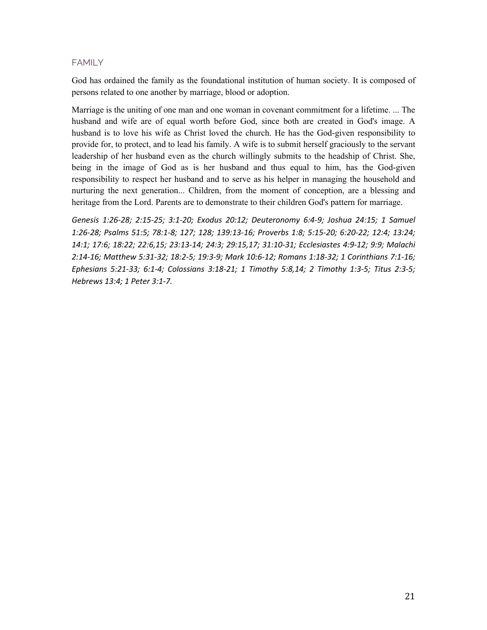#### FAMILY

God has ordained the family as the foundational institution of human society. It is composed of persons related to one another by marriage, blood or adoption.

Marriage is the uniting of one man and one woman in covenant commitment for a lifetime. ... The husband and wife are of equal worth before God, since both are created in God's image. A husband is to love his wife as Christ loved the church. He has the God-given responsibility to provide for, to protect, and to lead his family. A wife is to submit herself graciously to the servant leadership of her husband even as the church willingly submits to the headship of Christ. She, being in the image of God as is her husband and thus equal to him, has the God-given responsibility to respect her husband and to serve as his helper in managing the household and nurturing the next generation... Children, from the moment of conception, are a blessing and heritage from the Lord. Parents are to demonstrate to their children God's pattern for marriage.

*Genesis 1:26-28; 2:15-25; 3:1-20; Exodus 20:12; Deuteronomy 6:4-9; Joshua 24:15; 1 Samuel 1:26-28; Psalms 51:5; 78:1-8; 127; 128; 139:13-16; Proverbs 1:8; 5:15-20; 6:20-22; 12:4; 13:24; 14:1; 17:6; 18:22; 22:6,15; 23:13-14; 24:3; 29:15,17; 31:10-31; Ecclesiastes 4:9-12; 9:9; Malachi 2:14-16; Matthew 5:31-32; 18:2-5; 19:3-9; Mark 10:6-12; Romans 1:18-32; 1 Corinthians 7:1-16; Ephesians 5:21-33; 6:1-4; Colossians 3:18-21; 1 Timothy 5:8,14; 2 Timothy 1:3-5; Titus 2:3-5; Hebrews 13:4; 1 Peter 3:1-7.*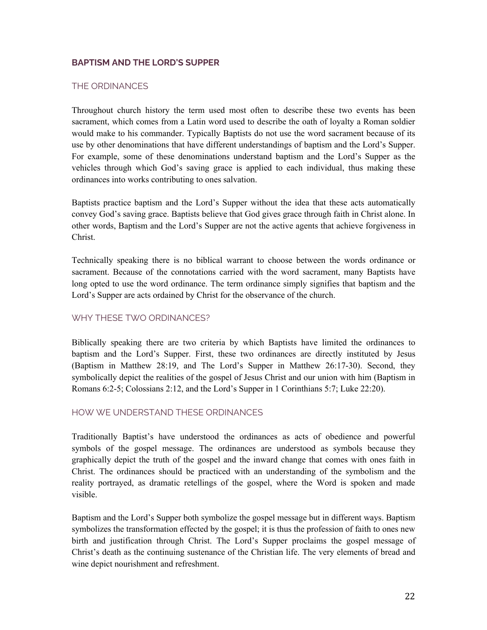# **BAPTISM AND THE LORD'S SUPPER**

### THE ORDINANCES

Throughout church history the term used most often to describe these two events has been sacrament, which comes from a Latin word used to describe the oath of loyalty a Roman soldier would make to his commander. Typically Baptists do not use the word sacrament because of its use by other denominations that have different understandings of baptism and the Lord's Supper. For example, some of these denominations understand baptism and the Lord's Supper as the vehicles through which God's saving grace is applied to each individual, thus making these ordinances into works contributing to ones salvation.

Baptists practice baptism and the Lord's Supper without the idea that these acts automatically convey God's saving grace. Baptists believe that God gives grace through faith in Christ alone. In other words, Baptism and the Lord's Supper are not the active agents that achieve forgiveness in Christ.

Technically speaking there is no biblical warrant to choose between the words ordinance or sacrament. Because of the connotations carried with the word sacrament, many Baptists have long opted to use the word ordinance. The term ordinance simply signifies that baptism and the Lord's Supper are acts ordained by Christ for the observance of the church.

### WHY THESE TWO ORDINANCES?

Biblically speaking there are two criteria by which Baptists have limited the ordinances to baptism and the Lord's Supper. First, these two ordinances are directly instituted by Jesus (Baptism in Matthew 28:19, and The Lord's Supper in Matthew 26:17-30). Second, they symbolically depict the realities of the gospel of Jesus Christ and our union with him (Baptism in Romans 6:2-5; Colossians 2:12, and the Lord's Supper in 1 Corinthians 5:7; Luke 22:20).

# HOW WE UNDERSTAND THESE ORDINANCES

Traditionally Baptist's have understood the ordinances as acts of obedience and powerful symbols of the gospel message. The ordinances are understood as symbols because they graphically depict the truth of the gospel and the inward change that comes with ones faith in Christ. The ordinances should be practiced with an understanding of the symbolism and the reality portrayed, as dramatic retellings of the gospel, where the Word is spoken and made visible.

Baptism and the Lord's Supper both symbolize the gospel message but in different ways. Baptism symbolizes the transformation effected by the gospel; it is thus the profession of faith to ones new birth and justification through Christ. The Lord's Supper proclaims the gospel message of Christ's death as the continuing sustenance of the Christian life. The very elements of bread and wine depict nourishment and refreshment.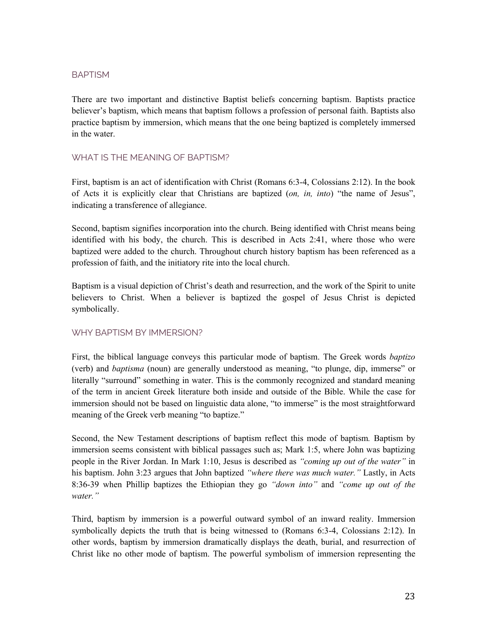# BAPTISM

There are two important and distinctive Baptist beliefs concerning baptism. Baptists practice believer's baptism, which means that baptism follows a profession of personal faith. Baptists also practice baptism by immersion, which means that the one being baptized is completely immersed in the water.

### WHAT IS THE MEANING OF BAPTISM?

First, baptism is an act of identification with Christ (Romans 6:3-4, Colossians 2:12). In the book of Acts it is explicitly clear that Christians are baptized (*on, in, into*) "the name of Jesus", indicating a transference of allegiance.

Second, baptism signifies incorporation into the church. Being identified with Christ means being identified with his body, the church. This is described in Acts 2:41, where those who were baptized were added to the church. Throughout church history baptism has been referenced as a profession of faith, and the initiatory rite into the local church.

Baptism is a visual depiction of Christ's death and resurrection, and the work of the Spirit to unite believers to Christ. When a believer is baptized the gospel of Jesus Christ is depicted symbolically.

# WHY BAPTISM BY IMMERSION?

First, the biblical language conveys this particular mode of baptism. The Greek words *baptizo*  (verb) and *baptisma* (noun) are generally understood as meaning, "to plunge, dip, immerse" or literally "surround" something in water. This is the commonly recognized and standard meaning of the term in ancient Greek literature both inside and outside of the Bible. While the case for immersion should not be based on linguistic data alone, "to immerse" is the most straightforward meaning of the Greek verb meaning "to baptize."

Second, the New Testament descriptions of baptism reflect this mode of baptism*.* Baptism by immersion seems consistent with biblical passages such as; Mark 1:5, where John was baptizing people in the River Jordan. In Mark 1:10, Jesus is described as *"coming up out of the water"* in his baptism. John 3:23 argues that John baptized *"where there was much water."* Lastly, in Acts 8:36-39 when Phillip baptizes the Ethiopian they go *"down into"* and *"come up out of the water."*

Third, baptism by immersion is a powerful outward symbol of an inward reality. Immersion symbolically depicts the truth that is being witnessed to (Romans 6:3-4, Colossians 2:12). In other words, baptism by immersion dramatically displays the death, burial, and resurrection of Christ like no other mode of baptism. The powerful symbolism of immersion representing the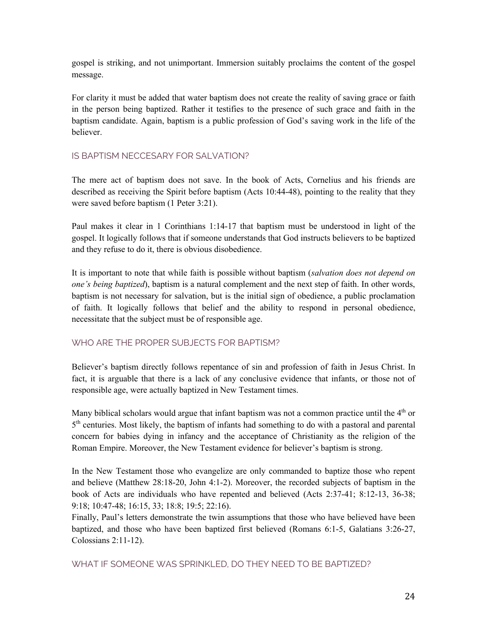gospel is striking, and not unimportant. Immersion suitably proclaims the content of the gospel message.

For clarity it must be added that water baptism does not create the reality of saving grace or faith in the person being baptized. Rather it testifies to the presence of such grace and faith in the baptism candidate. Again, baptism is a public profession of God's saving work in the life of the believer.

### IS BAPTISM NECCESARY FOR SALVATION?

The mere act of baptism does not save. In the book of Acts, Cornelius and his friends are described as receiving the Spirit before baptism (Acts 10:44-48), pointing to the reality that they were saved before baptism (1 Peter 3:21).

Paul makes it clear in 1 Corinthians 1:14-17 that baptism must be understood in light of the gospel. It logically follows that if someone understands that God instructs believers to be baptized and they refuse to do it, there is obvious disobedience.

It is important to note that while faith is possible without baptism (*salvation does not depend on one's being baptized*), baptism is a natural complement and the next step of faith. In other words, baptism is not necessary for salvation, but is the initial sign of obedience, a public proclamation of faith. It logically follows that belief and the ability to respond in personal obedience, necessitate that the subject must be of responsible age.

# WHO ARE THE PROPER SUBJECTS FOR BAPTISM?

Believer's baptism directly follows repentance of sin and profession of faith in Jesus Christ. In fact, it is arguable that there is a lack of any conclusive evidence that infants, or those not of responsible age, were actually baptized in New Testament times.

Many biblical scholars would argue that infant baptism was not a common practice until the  $4<sup>th</sup>$  or 5<sup>th</sup> centuries. Most likely, the baptism of infants had something to do with a pastoral and parental concern for babies dying in infancy and the acceptance of Christianity as the religion of the Roman Empire. Moreover, the New Testament evidence for believer's baptism is strong.

In the New Testament those who evangelize are only commanded to baptize those who repent and believe (Matthew 28:18-20, John 4:1-2). Moreover, the recorded subjects of baptism in the book of Acts are individuals who have repented and believed (Acts 2:37-41; 8:12-13, 36-38; 9:18; 10:47-48; 16:15, 33; 18:8; 19:5; 22:16).

Finally, Paul's letters demonstrate the twin assumptions that those who have believed have been baptized, and those who have been baptized first believed (Romans 6:1-5, Galatians 3:26-27, Colossians 2:11-12).

WHAT IF SOMEONE WAS SPRINKLED, DO THEY NEED TO BE BAPTIZED?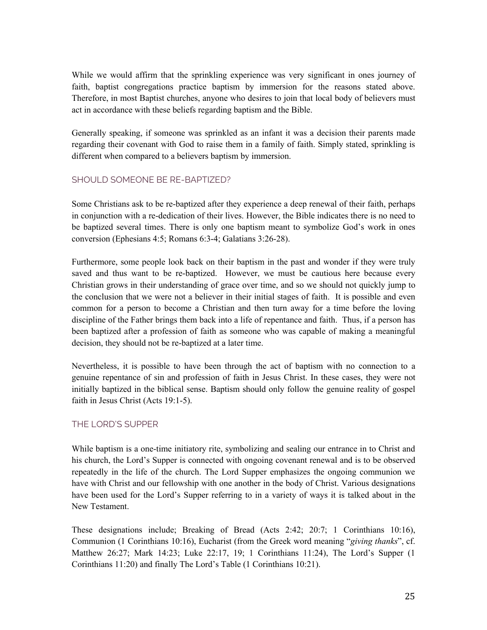While we would affirm that the sprinkling experience was very significant in ones journey of faith, baptist congregations practice baptism by immersion for the reasons stated above. Therefore, in most Baptist churches, anyone who desires to join that local body of believers must act in accordance with these beliefs regarding baptism and the Bible.

Generally speaking, if someone was sprinkled as an infant it was a decision their parents made regarding their covenant with God to raise them in a family of faith. Simply stated, sprinkling is different when compared to a believers baptism by immersion.

# SHOULD SOMEONE BE RE-BAPTIZED?

Some Christians ask to be re-baptized after they experience a deep renewal of their faith, perhaps in conjunction with a re-dedication of their lives. However, the Bible indicates there is no need to be baptized several times. There is only one baptism meant to symbolize God's work in ones conversion (Ephesians 4:5; Romans 6:3-4; Galatians 3:26-28).

Furthermore, some people look back on their baptism in the past and wonder if they were truly saved and thus want to be re-baptized. However, we must be cautious here because every Christian grows in their understanding of grace over time, and so we should not quickly jump to the conclusion that we were not a believer in their initial stages of faith. It is possible and even common for a person to become a Christian and then turn away for a time before the loving discipline of the Father brings them back into a life of repentance and faith. Thus, if a person has been baptized after a profession of faith as someone who was capable of making a meaningful decision, they should not be re-baptized at a later time.

Nevertheless, it is possible to have been through the act of baptism with no connection to a genuine repentance of sin and profession of faith in Jesus Christ. In these cases, they were not initially baptized in the biblical sense. Baptism should only follow the genuine reality of gospel faith in Jesus Christ (Acts 19:1-5).

# THE LORD'S SUPPER

While baptism is a one-time initiatory rite, symbolizing and sealing our entrance in to Christ and his church, the Lord's Supper is connected with ongoing covenant renewal and is to be observed repeatedly in the life of the church. The Lord Supper emphasizes the ongoing communion we have with Christ and our fellowship with one another in the body of Christ. Various designations have been used for the Lord's Supper referring to in a variety of ways it is talked about in the New Testament.

These designations include; Breaking of Bread (Acts 2:42; 20:7; 1 Corinthians 10:16), Communion (1 Corinthians 10:16), Eucharist (from the Greek word meaning "*giving thanks*", cf. Matthew 26:27; Mark 14:23; Luke 22:17, 19; 1 Corinthians 11:24), The Lord's Supper (1 Corinthians 11:20) and finally The Lord's Table (1 Corinthians 10:21).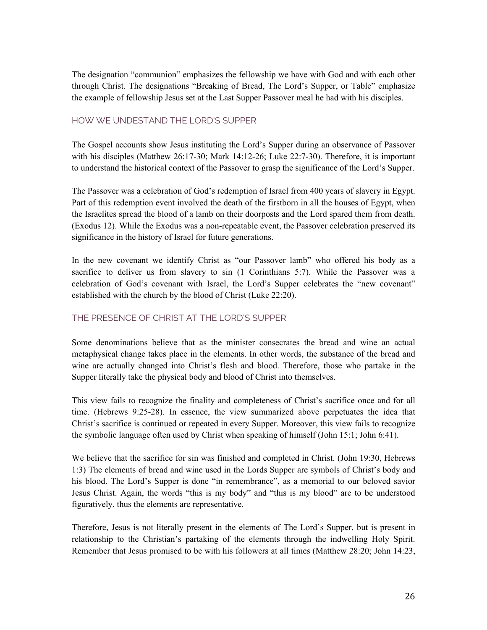The designation "communion" emphasizes the fellowship we have with God and with each other through Christ. The designations "Breaking of Bread, The Lord's Supper, or Table" emphasize the example of fellowship Jesus set at the Last Supper Passover meal he had with his disciples.

### HOW WE UNDESTAND THE LORD'S SUPPER

The Gospel accounts show Jesus instituting the Lord's Supper during an observance of Passover with his disciples (Matthew 26:17-30; Mark 14:12-26; Luke 22:7-30). Therefore, it is important to understand the historical context of the Passover to grasp the significance of the Lord's Supper.

The Passover was a celebration of God's redemption of Israel from 400 years of slavery in Egypt. Part of this redemption event involved the death of the firstborn in all the houses of Egypt, when the Israelites spread the blood of a lamb on their doorposts and the Lord spared them from death. (Exodus 12). While the Exodus was a non-repeatable event, the Passover celebration preserved its significance in the history of Israel for future generations.

In the new covenant we identify Christ as "our Passover lamb" who offered his body as a sacrifice to deliver us from slavery to sin (1 Corinthians 5:7). While the Passover was a celebration of God's covenant with Israel, the Lord's Supper celebrates the "new covenant" established with the church by the blood of Christ (Luke 22:20).

# THE PRESENCE OF CHRIST AT THE LORD'S SUPPER

Some denominations believe that as the minister consecrates the bread and wine an actual metaphysical change takes place in the elements. In other words, the substance of the bread and wine are actually changed into Christ's flesh and blood. Therefore, those who partake in the Supper literally take the physical body and blood of Christ into themselves.

This view fails to recognize the finality and completeness of Christ's sacrifice once and for all time. (Hebrews 9:25-28). In essence, the view summarized above perpetuates the idea that Christ's sacrifice is continued or repeated in every Supper. Moreover, this view fails to recognize the symbolic language often used by Christ when speaking of himself (John 15:1; John 6:41).

We believe that the sacrifice for sin was finished and completed in Christ. (John 19:30, Hebrews 1:3) The elements of bread and wine used in the Lords Supper are symbols of Christ's body and his blood. The Lord's Supper is done "in remembrance", as a memorial to our beloved savior Jesus Christ. Again, the words "this is my body" and "this is my blood" are to be understood figuratively, thus the elements are representative.

Therefore, Jesus is not literally present in the elements of The Lord's Supper, but is present in relationship to the Christian's partaking of the elements through the indwelling Holy Spirit. Remember that Jesus promised to be with his followers at all times (Matthew 28:20; John 14:23,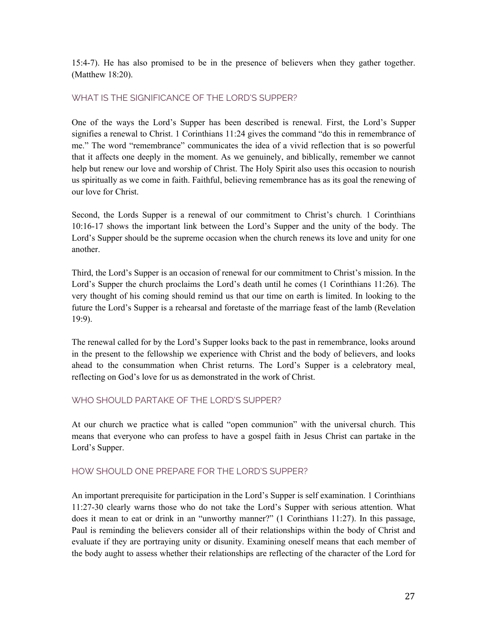15:4-7). He has also promised to be in the presence of believers when they gather together. (Matthew 18:20).

# WHAT IS THE SIGNIFICANCE OF THE LORD'S SUPPER?

One of the ways the Lord's Supper has been described is renewal. First, the Lord's Supper signifies a renewal to Christ. 1 Corinthians 11:24 gives the command "do this in remembrance of me." The word "remembrance" communicates the idea of a vivid reflection that is so powerful that it affects one deeply in the moment. As we genuinely, and biblically, remember we cannot help but renew our love and worship of Christ. The Holy Spirit also uses this occasion to nourish us spiritually as we come in faith. Faithful, believing remembrance has as its goal the renewing of our love for Christ.

Second, the Lords Supper is a renewal of our commitment to Christ's church*.* 1 Corinthians 10:16-17 shows the important link between the Lord's Supper and the unity of the body. The Lord's Supper should be the supreme occasion when the church renews its love and unity for one another.

Third, the Lord's Supper is an occasion of renewal for our commitment to Christ's mission. In the Lord's Supper the church proclaims the Lord's death until he comes (1 Corinthians 11:26). The very thought of his coming should remind us that our time on earth is limited. In looking to the future the Lord's Supper is a rehearsal and foretaste of the marriage feast of the lamb (Revelation 19:9).

The renewal called for by the Lord's Supper looks back to the past in remembrance, looks around in the present to the fellowship we experience with Christ and the body of believers, and looks ahead to the consummation when Christ returns. The Lord's Supper is a celebratory meal, reflecting on God's love for us as demonstrated in the work of Christ.

# WHO SHOULD PARTAKE OF THE LORD'S SUPPER?

At our church we practice what is called "open communion" with the universal church. This means that everyone who can profess to have a gospel faith in Jesus Christ can partake in the Lord's Supper.

#### HOW SHOULD ONE PREPARE FOR THE LORD'S SUPPER?

An important prerequisite for participation in the Lord's Supper is self examination. 1 Corinthians 11:27-30 clearly warns those who do not take the Lord's Supper with serious attention. What does it mean to eat or drink in an "unworthy manner?" (1 Corinthians 11:27). In this passage, Paul is reminding the believers consider all of their relationships within the body of Christ and evaluate if they are portraying unity or disunity. Examining oneself means that each member of the body aught to assess whether their relationships are reflecting of the character of the Lord for